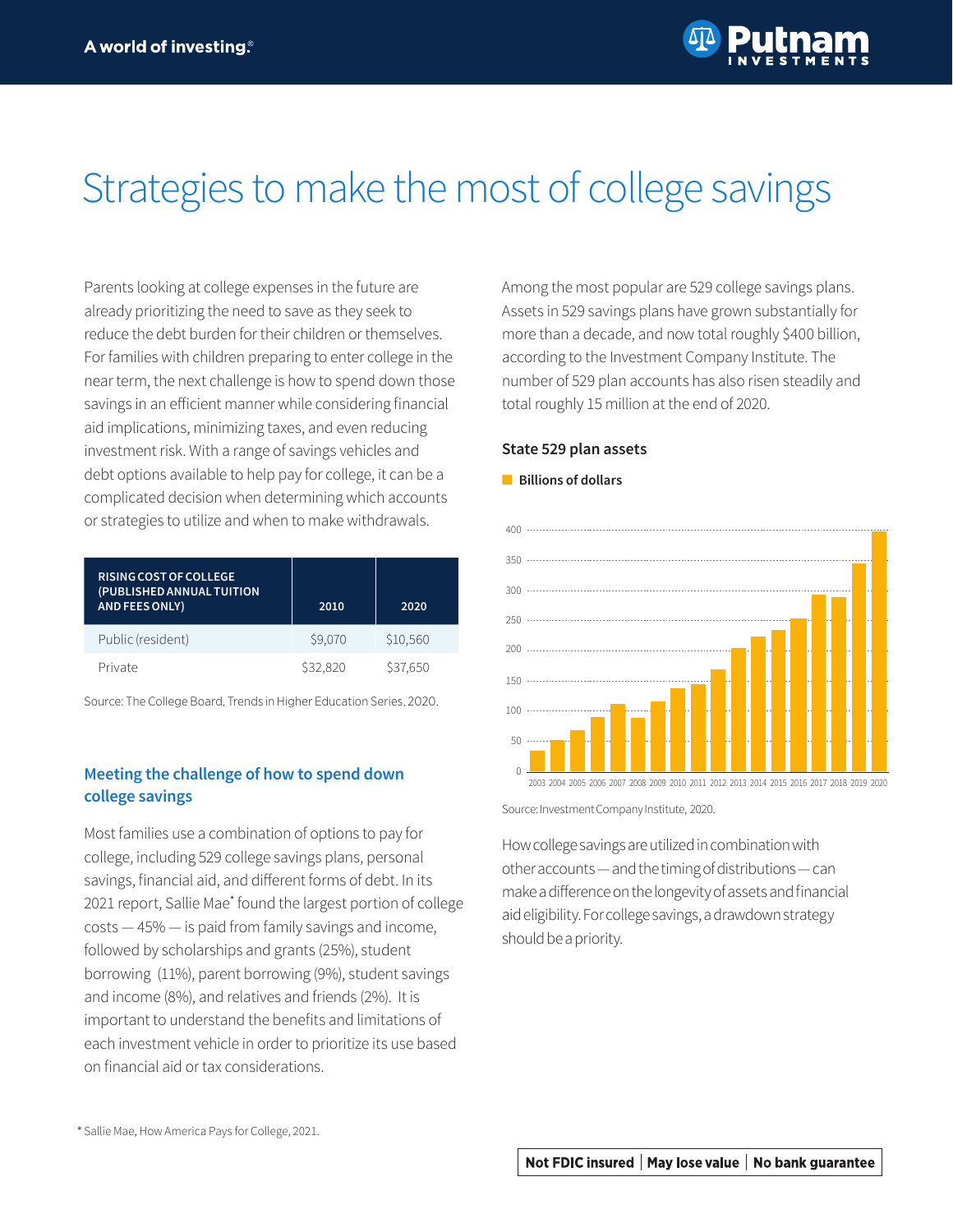# Strategies to make the most of college savings

Parents looking at college expenses in the future are already prioritizing the need to save as they seek to reduce the debt burden for their children or themselves. For families with children preparing to enter college in the near term, the next challenge is how to spend down those savings in an efficient manner while considering financial aid implications, minimizing taxes, and even reducing investment risk. With a range of savings vehicles and debt options available to help pay for college, it can be a complicated decision when determining which accounts or strategies to utilize and when to make withdrawals.

| RISING COST OF COLLEGE<br>(PUBLISHED ANNUAL TUITION<br><b>AND FEES ONLY)</b> | 2010     | 2020     |
|------------------------------------------------------------------------------|----------|----------|
| Public (resident)                                                            | \$9,070  | \$10,560 |
| Private                                                                      | \$32,820 | \$37,650 |

Source: The College Board, Trends in Higher Education Series, 2020.

## **Meeting the challenge of how to spend down college savings**

Most families use a combination of options to pay for college, including 529 college savings plans, personal savings, financial aid, and different forms of debt. In its 2021 report, Sallie Mae\* found the largest portion of college costs — 45% — is paid from family savings and income, followed by scholarships and grants (25%), student borrowing (11%), parent borrowing (9%), student savings and income (8%), and relatives and friends (2%). It is important to understand the benefits and limitations of each investment vehicle in order to prioritize its use based on financial aid or tax considerations.

Among the most popular are 529 college savings plans. Assets in 529 savings plans have grown substantially for more than a decade, and now total roughly \$400 billion, according to the Investment Company Institute. The number of 529 plan accounts has also risen steadily and total roughly 15 million at the end of 2020.

#### **State 529 plan assets**

#### ■ **Billions of dollars**



2003 2004 2005 2006 2007 2008 2009 2010 2011 2012 2013 2014 2015 2016 2017 2018 2019 2020

Source: Investment Company Institute, 2020.

How college savings are utilized in combination with other accounts — and the timing of distributions — can make a difference on the longevity of assets and financial aid eligibility. For college savings, a drawdown strategy should be a priority.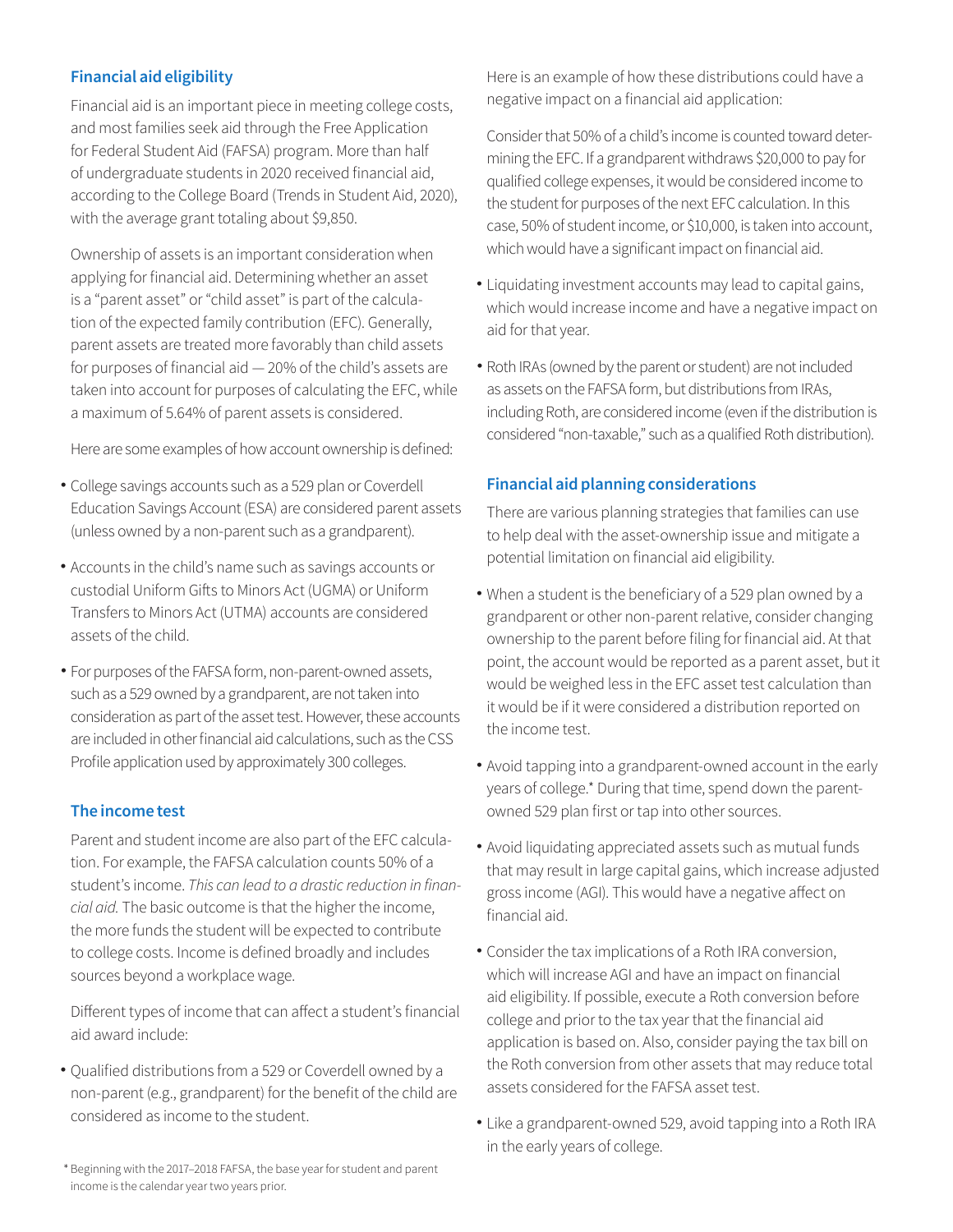# **Financial aid eligibility**

Financial aid is an important piece in meeting college costs, and most families seek aid through the Free Application for Federal Student Aid (FAFSA) program. More than half of undergraduate students in 2020 received financial aid, according to the College Board (Trends in Student Aid, 2020), with the average grant totaling about \$9,850.

Ownership of assets is an important consideration when applying for financial aid. Determining whether an asset is a "parent asset" or "child asset" is part of the calculation of the expected family contribution (EFC). Generally, parent assets are treated more favorably than child assets for purposes of financial aid — 20% of the child's assets are taken into account for purposes of calculating the EFC, while a maximum of 5.64% of parent assets is considered.

Here are some examples of how account ownership is defined:

- College savings accounts such as a 529 plan or Coverdell Education Savings Account (ESA) are considered parent assets (unless owned by a non-parent such as a grandparent).
- Accounts in the child's name such as savings accounts or custodial Uniform Gifts to Minors Act (UGMA) or Uniform Transfers to Minors Act (UTMA) accounts are considered assets of the child.
- For purposes of the FAFSA form, non-parent-owned assets, such as a 529 owned by a grandparent, are not taken into consideration as part of the asset test. However, these accounts are included in other financial aid calculations, such as the CSS Profile application used by approximately 300 colleges.

## **The income test**

Parent and student income are also part of the EFC calculation. For example, the FAFSA calculation counts 50% of a student's income. This can lead to a drastic reduction in finan*cial aid.* The basic outcome is that the higher the income, the more funds the student will be expected to contribute to college costs. Income is defined broadly and includes sources beyond a workplace wage.

Different types of income that can affect a student's financial aid award include:

Qualified distributions from a 529 or Coverdell owned by a • non-parent (e.g., grandparent) for the benefit of the child are considered as income to the student.

Here is an example of how these distributions could have a negative impact on a financial aid application:

Consider that 50% of a child's income is counted toward determining the EFC. If a grandparent withdraws \$20,000 to pay for qualified college expenses, it would be considered income to the student for purposes of the next EFC calculation. In this case, 50% of student income, or \$10,000, is taken into account, which would have a significant impact on financial aid.

- Liquidating investment accounts may lead to capital gains, which would increase income and have a negative impact on aid for that year.
- Roth IRAs (owned by the parent or student) are not included as assets on the FAFSA form, but distributions from IRAs, including Roth, are considered income (even if the distribution is considered "non-taxable," such as a qualified Roth distribution).

## **Financial aid planning considerations**

There are various planning strategies that families can use to help deal with the asset-ownership issue and mitigate a potential limitation on financial aid eligibility.

- When a student is the beneficiary of a 529 plan owned by a grandparent or other non-parent relative, consider changing ownership to the parent before filing for financial aid. At that point, the account would be reported as a parent asset, but it would be weighed less in the EFC asset test calculation than it would be if it were considered a distribution reported on the income test.
- Avoid tapping into a grandparent-owned account in the early years of college.\* During that time, spend down the parentowned 529 plan first or tap into other sources.
- Avoid liquidating appreciated assets such as mutual funds that may result in large capital gains, which increase adjusted gross income (AGI). This would have a negative affect on financial aid.
- Consider the tax implications of a Roth IRA conversion, which will increase AGI and have an impact on financial aid eligibility. If possible, execute a Roth conversion before college and prior to the tax year that the financial aid application is based on. Also, consider paying the tax bill on the Roth conversion from other assets that may reduce total assets considered for the FAFSA asset test.
- Like a grandparent-owned 529, avoid tapping into a Roth IRA in the early years of college.

\* Beginning with the 2017-2018 FAFSA, the base year for student and parent income is the calendar year two years prior.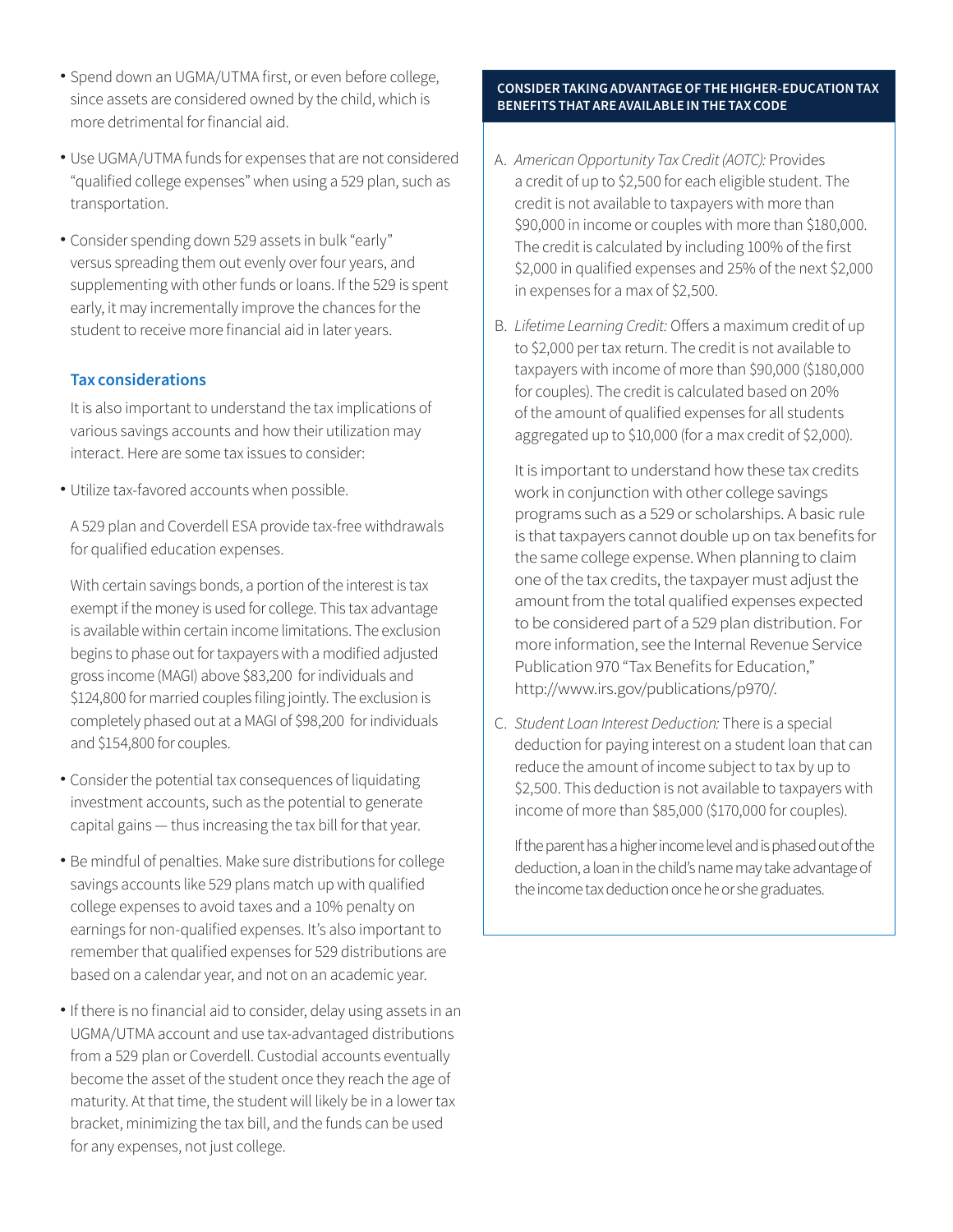- Spend down an UGMA/UTMA first, or even before college, since assets are considered owned by the child, which is more detrimental for financial aid.
- Use UGMA/UTMA funds for expenses that are not considered "qualified college expenses" when using a 529 plan, such as transportation.
- Consider spending down 529 assets in bulk "early" versus spreading them out evenly over four years, and supplementing with other funds or loans. If the 529 is spent early, it may incrementally improve the chances for the student to receive more financial aid in later years.

## **Tax considerations**

It is also important to understand the tax implications of various savings accounts and how their utilization may interact. Here are some tax issues to consider:

Utilize tax-favored accounts when possible. •

A 529 plan and Coverdell ESA provide tax-free withdrawals for qualified education expenses.

With certain savings bonds, a portion of the interest is tax exempt if the money is used for college. This tax advantage is available within certain income limitations. The exclusion begins to phase out for taxpayers with a modified adjusted gross income (MAGI) above \$83,200 for individuals and \$124,800 for married couples filing jointly. The exclusion is completely phased out at a MAGI of \$98,200 for individuals and \$154,800 for couples.

- Consider the potential tax consequences of liquidating investment accounts, such as the potential to generate capital gains — thus increasing the tax bill for that year.
- Be mindful of penalties. Make sure distributions for college savings accounts like 529 plans match up with qualified college expenses to avoid taxes and a 10% penalty on earnings for non-qualified expenses. It's also important to remember that qualified expenses for 529 distributions are based on a calendar year, and not on an academic year.
- If there is no financial aid to consider, delay using assets in an UGMA/UTMA account and use tax-advantaged distributions from a 529 plan or Coverdell. Custodial accounts eventually become the asset of the student once they reach the age of maturity. At that time, the student will likely be in a lower tax bracket, minimizing the tax bill, and the funds can be used for any expenses, not just college.

#### **CONSIDER TAKING ADVANTAGE OF THE HIGHER-EDUCATION TAX BENEFITS THAT ARE AVAILABLE IN THE TAX CODE**

- A. *American Opportunity Tax Credit (AOTC):* Provides a credit of up to \$2,500 for each eligible student. The credit is not available to taxpayers with more than \$90,000 in income or couples with more than \$180,000. The credit is calculated by including 100% of the first \$2,000 in qualified expenses and 25% of the next \$2,000 in expenses for a max of \$2,500.
- B. *Lifetime Learning Credit:* Offers a maximum credit of up to \$2,000 per tax return. The credit is not available to taxpayers with income of more than \$90,000 (\$180,000 for couples). The credit is calculated based on 20% of the amount of qualified expenses for all students aggregated up to \$10,000 (for a max credit of \$2,000).

It is important to understand how these tax credits work in conjunction with other college savings programs such as a 529 or scholarships. A basic rule is that taxpayers cannot double up on tax benefits for the same college expense. When planning to claim one of the tax credits, the taxpayer must adjust the amount from the total qualified expenses expected to be considered part of a 529 plan distribution. For more information, see the Internal Revenue Service Publication 970 "Tax Benefits for Education," http://www.irs.gov/publications/p970/.

C. *Student Loan Interest Deduction:* There is a special deduction for paying interest on a student loan that can reduce the amount of income subject to tax by up to \$2,500. This deduction is not available to taxpayers with income of more than \$85,000 (\$170,000 for couples).

If the parent has a higher income level and is phased out of the deduction, a loan in the child's name may take advantage of the income tax deduction once he or she graduates.